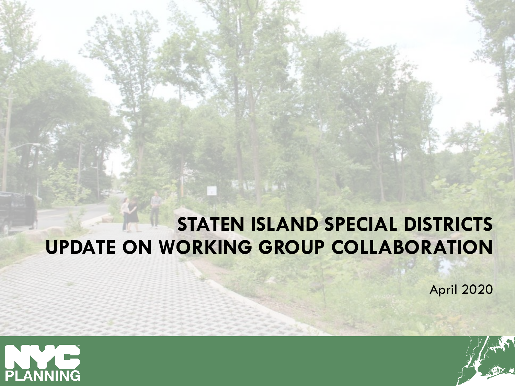# **STATEN ISLAND SPECIAL DISTRICTS UPDATE ON WORKING GROUP COLLABORATION**

April 2020



**DRAFT**

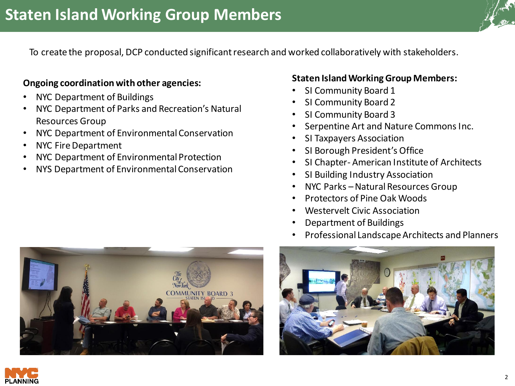

To create the proposal, DCP conducted significant research and worked collaboratively with stakeholders.

### **Ongoing coordination with other agencies:**

- NYC Department of Buildings
- NYC Department of Parks and Recreation's Natural Resources Group
- NYC Department of Environmental Conservation
- NYC Fire Department
- NYC Department of Environmental Protection
- NYS Department of Environmental Conservation

### **Staten Island Working Group Members:**

- SI Community Board 1
- SI Community Board 2
- SI Community Board 3
- Serpentine Art and Nature Commons Inc.
- SI Taxpayers Association
- SI Borough President's Office
- SI Chapter- American Institute of Architects
- SI Building Industry Association
- NYC Parks Natural Resources Group
- Protectors of Pine Oak Woods
- Westervelt Civic Association
- Department of Buildings
- Professional Landscape Architects and Planners





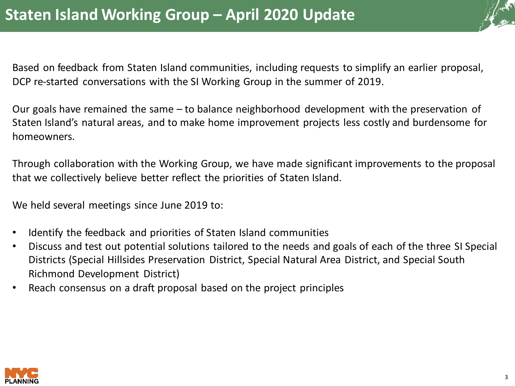

Based on feedback from Staten Island communities, including requests to simplify an earlier proposal, DCP re-started conversations with the SI Working Group in the summer of 2019.

Our goals have remained the same – to balance neighborhood development with the preservation of Staten Island's natural areas, and to make home improvement projects less costly and burdensome for homeowners.

Through collaboration with the Working Group, we have made significant improvements to the proposal that we collectively believe better reflect the priorities of Staten Island.

We held several meetings since June 2019 to:

- Identify the feedback and priorities of Staten Island communities
- Discuss and test out potential solutions tailored to the needs and goals of each of the three SI Special Districts (Special Hillsides Preservation District, Special Natural Area District, and Special South Richmond Development District)
- Reach consensus on a draft proposal based on the project principles

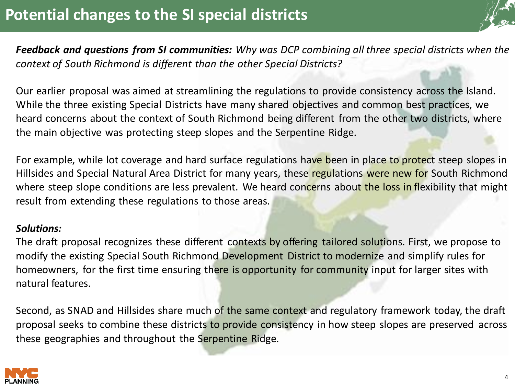

*Feedback and questions from SI communities: Why was DCP combining all three special districts when the context of South Richmond is different than the other Special Districts?*

Our earlier proposal was aimed at streamlining the regulations to provide consistency across the Island. While the three existing Special Districts have many shared objectives and common best practices, we heard concerns about the context of South Richmond being different from the other two districts, where the main objective was protecting steep slopes and the Serpentine Ridge.

For example, while lot coverage and hard surface regulations have been in place to protect steep slopes in Hillsides and Special Natural Area District for many years, these regulations were new for South Richmond where steep slope conditions are less prevalent. We heard concerns about the loss in flexibility that might result from extending these regulations to those areas.

### *Solutions:*

The draft proposal recognizes these different contexts by offering tailored solutions. First, we propose to modify the existing Special South Richmond Development District to modernize and simplify rules for homeowners, for the first time ensuring there is opportunity for community input for larger sites with natural features.

Second, as SNAD and Hillsides share much of the same context and regulatory framework today, the draft proposal seeks to combine these districts to provide consistency in how steep slopes are preserved across these geographies and throughout the Serpentine Ridge.

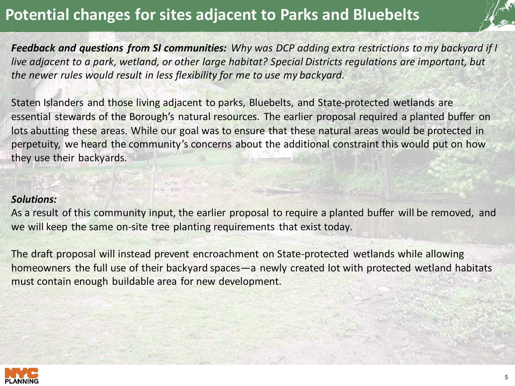# **Potential changes for sites adjacent to Parks and Bluebelts**



*Feedback and questions from SI communities: Why was DCP adding extra restrictions to my backyard if I live adjacent to a park, wetland, or other large habitat? Special Districts regulations are important, but the newer rules would result in less flexibility for me to use my backyard.*

Staten Islanders and those living adjacent to parks, Bluebelts, and State-protected wetlands are essential stewards of the Borough's natural resources. The earlier proposal required a planted buffer on lots abutting these areas. While our goal was to ensure that these natural areas would be protected in perpetuity, we heard the community's concerns about the additional constraint this would put on how they use their backyards.

### *Solutions:*

As a result of this community input, the earlier proposal to require a planted buffer will be removed, and we will keep the same on-site tree planting requirements that exist today.

The draft proposal will instead prevent encroachment on State-protected wetlands while allowing homeowners the full use of their backyard spaces—a newly created lot with protected wetland habitats must contain enough buildable area for new development.

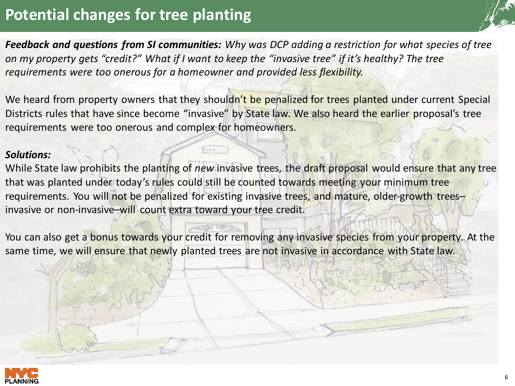### **Potential changes for tree planting**



*Feedback and questions from SI communities: Why was DCP adding a restriction for what species of tree on my property gets "credit?" What if I want to keep the "invasive tree" if it's healthy? The tree requirements were too onerous for a homeowner and provided less flexibility.*

We heard from property owners that they shouldn't be penalized for trees planted under current Special Districts rules that have since become "invasive" by State law. We also heard the earlier proposal's tree requirements were too onerous and complex for homeowners.

#### *Solutions:*

While State law prohibits the planting of *new* invasive trees, the draft proposal would ensure that any tree that was planted under today's rules could still be counted towards meeting your minimum tree requirements. You will not be penalized for existing invasive trees, and mature, older-growth trees– invasive or non-invasive–will count extra toward your tree credit.

You can also get a bonus towards your credit for removing any invasive species from your property. At the same time, we will ensure that newly planted trees are not invasive in accordance with State law.

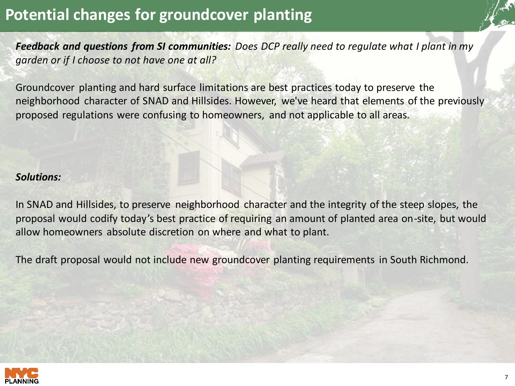### **Potential changes for groundcover planting**

*Feedback and questions from SI communities: Does DCP really need to regulate what I plant in my garden or if I choose to not have one at all?*

Groundcover planting and hard surface limitations are best practices today to preserve the neighborhood character of SNAD and Hillsides. However, we've heard that elements of the previously proposed regulations were confusing to homeowners, and not applicable to all areas.

### *Solutions:*

In SNAD and Hillsides, to preserve neighborhood character and the integrity of the steep slopes, the proposal would codify today's best practice of requiring an amount of planted area on-site, but would allow homeowners absolute discretion on where and what to plant.

The draft proposal would not include new groundcover planting requirements in South Richmond.

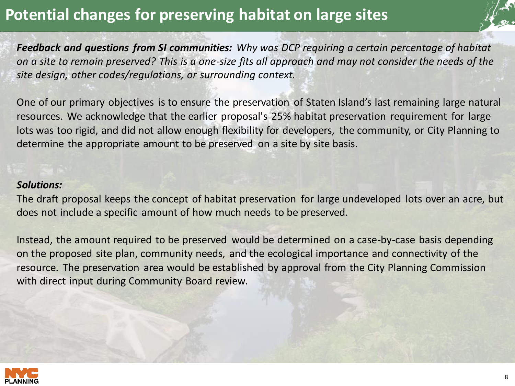# **Potential changes for preserving habitat on large sites**



*Feedback and questions from SI communities: Why was DCP requiring a certain percentage of habitat on a site to remain preserved? This is a one-size fits all approach and may not consider the needs of the site design, other codes/regulations, or surrounding context.* 

One of our primary objectives is to ensure the preservation of Staten Island's last remaining large natural resources. We acknowledge that the earlier proposal's 25% habitat preservation requirement for large lots was too rigid, and did not allow enough flexibility for developers, the community, or City Planning to determine the appropriate amount to be preserved on a site by site basis.

### *Solutions:*

The draft proposal keeps the concept of habitat preservation for large undeveloped lots over an acre, but does not include a specific amount of how much needs to be preserved.

Instead, the amount required to be preserved would be determined on a case-by-case basis depending on the proposed site plan, community needs, and the ecological importance and connectivity of the resource. The preservation area would be established by approval from the City Planning Commission with direct input during Community Board review.